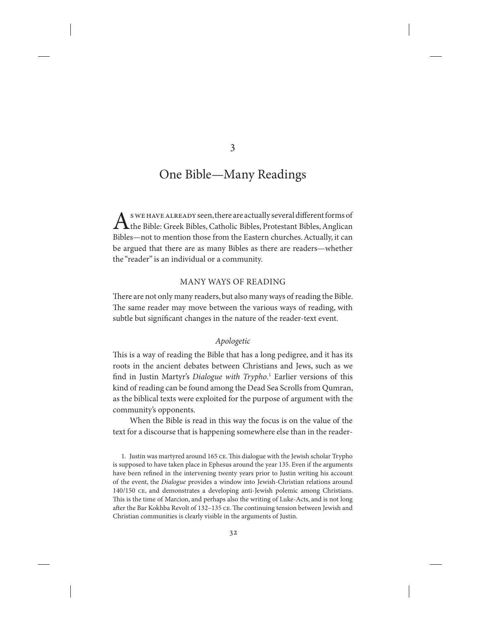s we have already seen, there are actually several different forms of  $\Gamma$ the Bible: Greek Bibles, Catholic Bibles, Protestant Bibles, Anglican Bibles—not to mention those from the Eastern churches. Actually, it can be argued that there are as many Bibles as there are readers—whether the "reader" is an individual or a community.

# Many Ways of Reading

There are not only many readers, but also many ways of reading the Bible. The same reader may move between the various ways of reading, with subtle but significant changes in the nature of the reader-text event.

## *Apologetic*

This is a way of reading the Bible that has a long pedigree, and it has its roots in the ancient debates between Christians and Jews, such as we find in Justin Martyr's *Dialogue with Trypho*. <sup>1</sup> Earlier versions of this kind of reading can be found among the Dead Sea Scrolls from Qumran, as the biblical texts were exploited for the purpose of argument with the community's opponents.

When the Bible is read in this way the focus is on the value of the text for a discourse that is happening somewhere else than in the reader-

3

<sup>1.</sup> Justin was martyred around 165 ce. This dialogue with the Jewish scholar Trypho is supposed to have taken place in Ephesus around the year 135. Even if the arguments have been refined in the intervening twenty years prior to Justin writing his account of the event, the *Dialogue* provides a window into Jewish-Christian relations around 140/150 ce, and demonstrates a developing anti-Jewish polemic among Christians. This is the time of Marcion, and perhaps also the writing of Luke-Acts, and is not long after the Bar Kokhba Revolt of 132–135 ce. The continuing tension between Jewish and Christian communities is clearly visible in the arguments of Justin.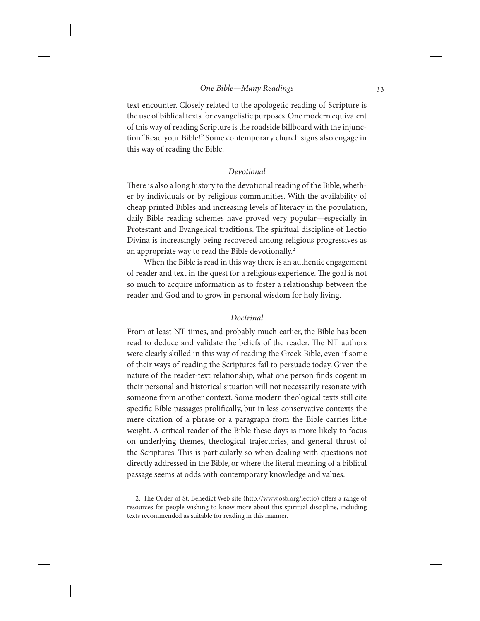text encounter. Closely related to the apologetic reading of Scripture is the use of biblical texts for evangelistic purposes. One modern equivalent of this way of reading Scripture is the roadside billboard with the injunction "Read your Bible!" Some contemporary church signs also engage in this way of reading the Bible.

## *Devotional*

There is also a long history to the devotional reading of the Bible, whether by individuals or by religious communities. With the availability of cheap printed Bibles and increasing levels of literacy in the population, daily Bible reading schemes have proved very popular—especially in Protestant and Evangelical traditions. The spiritual discipline of Lectio Divina is increasingly being recovered among religious progressives as an appropriate way to read the Bible devotionally.<sup>2</sup>

When the Bible is read in this way there is an authentic engagement of reader and text in the quest for a religious experience. The goal is not so much to acquire information as to foster a relationship between the reader and God and to grow in personal wisdom for holy living.

# *Doctrinal*

From at least NT times, and probably much earlier, the Bible has been read to deduce and validate the beliefs of the reader. The NT authors were clearly skilled in this way of reading the Greek Bible, even if some of their ways of reading the Scriptures fail to persuade today. Given the nature of the reader-text relationship, what one person finds cogent in their personal and historical situation will not necessarily resonate with someone from another context. Some modern theological texts still cite specific Bible passages prolifically, but in less conservative contexts the mere citation of a phrase or a paragraph from the Bible carries little weight. A critical reader of the Bible these days is more likely to focus on underlying themes, theological trajectories, and general thrust of the Scriptures. This is particularly so when dealing with questions not directly addressed in the Bible, or where the literal meaning of a biblical passage seems at odds with contemporary knowledge and values.

2. The Order of St. Benedict Web site (http://www.osb.org/lectio) offers a range of resources for people wishing to know more about this spiritual discipline, including texts recommended as suitable for reading in this manner.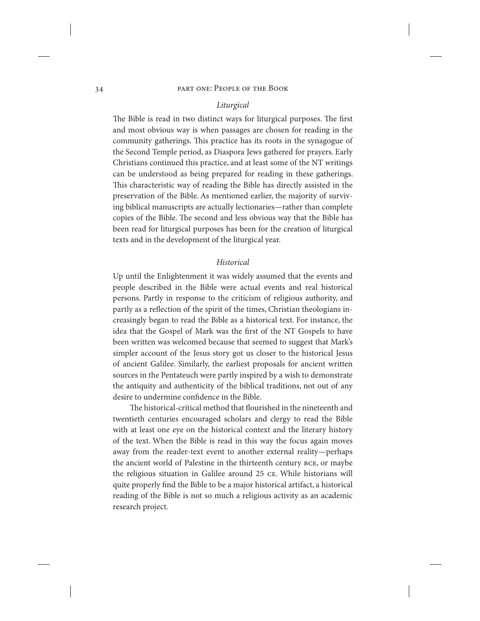## *Liturgical*

The Bible is read in two distinct ways for liturgical purposes. The first and most obvious way is when passages are chosen for reading in the community gatherings. This practice has its roots in the synagogue of the Second Temple period, as Diaspora Jews gathered for prayers. Early Christians continued this practice, and at least some of the NT writings can be understood as being prepared for reading in these gatherings. This characteristic way of reading the Bible has directly assisted in the preservation of the Bible. As mentioned earlier, the majority of surviving biblical manuscripts are actually lectionaries—rather than complete copies of the Bible. The second and less obvious way that the Bible has been read for liturgical purposes has been for the creation of liturgical texts and in the development of the liturgical year.

## *Historical*

Up until the Enlightenment it was widely assumed that the events and people described in the Bible were actual events and real historical persons. Partly in response to the criticism of religious authority, and partly as a reflection of the spirit of the times, Christian theologians increasingly began to read the Bible as a historical text. For instance, the idea that the Gospel of Mark was the first of the NT Gospels to have been written was welcomed because that seemed to suggest that Mark's simpler account of the Jesus story got us closer to the historical Jesus of ancient Galilee. Similarly, the earliest proposals for ancient written sources in the Pentateuch were partly inspired by a wish to demonstrate the antiquity and authenticity of the biblical traditions, not out of any desire to undermine confidence in the Bible.

The historical-critical method that flourished in the nineteenth and twentieth centuries encouraged scholars and clergy to read the Bible with at least one eye on the historical context and the literary history of the text. When the Bible is read in this way the focus again moves away from the reader-text event to another external reality—perhaps the ancient world of Palestine in the thirteenth century bce, or maybe the religious situation in Galilee around 25 ce. While historians will quite properly find the Bible to be a major historical artifact, a historical reading of the Bible is not so much a religious activity as an academic research project.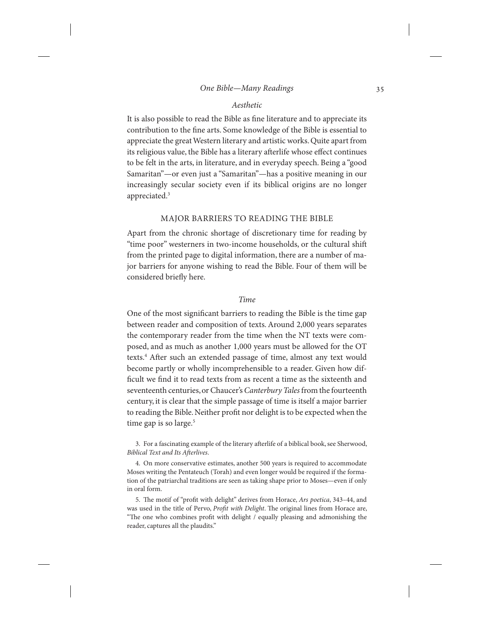# *Aesthetic*

It is also possible to read the Bible as fine literature and to appreciate its contribution to the fine arts. Some knowledge of the Bible is essential to appreciate the great Western literary and artistic works. Quite apart from its religious value, the Bible has a literary afterlife whose effect continues to be felt in the arts, in literature, and in everyday speech. Being a "good Samaritan"—or even just a "Samaritan"—has a positive meaning in our increasingly secular society even if its biblical origins are no longer appreciated.3

## Major Barriers to Reading the Bible

Apart from the chronic shortage of discretionary time for reading by "time poor" westerners in two-income households, or the cultural shift from the printed page to digital information, there are a number of major barriers for anyone wishing to read the Bible. Four of them will be considered briefly here.

## *Time*

One of the most significant barriers to reading the Bible is the time gap between reader and composition of texts. Around 2,000 years separates the contemporary reader from the time when the NT texts were composed, and as much as another 1,000 years must be allowed for the OT texts.4 After such an extended passage of time, almost any text would become partly or wholly incomprehensible to a reader. Given how difficult we find it to read texts from as recent a time as the sixteenth and seventeenth centuries, or Chaucer's *Canterbury Tales* from the fourteenth century, it is clear that the simple passage of time is itself a major barrier to reading the Bible. Neither profit nor delight is to be expected when the time gap is so large.<sup>5</sup>

3. For a fascinating example of the literary afterlife of a biblical book, see Sherwood, *Biblical Text and Its Afterlives*.

4. On more conservative estimates, another 500 years is required to accommodate Moses writing the Pentateuch (Torah) and even longer would be required if the formation of the patriarchal traditions are seen as taking shape prior to Moses—even if only in oral form.

5. The motif of "profit with delight" derives from Horace, *Ars poetica*, 343–44, and was used in the title of Pervo, *Profit with Delight*. The original lines from Horace are, "The one who combines profit with delight / equally pleasing and admonishing the reader, captures all the plaudits."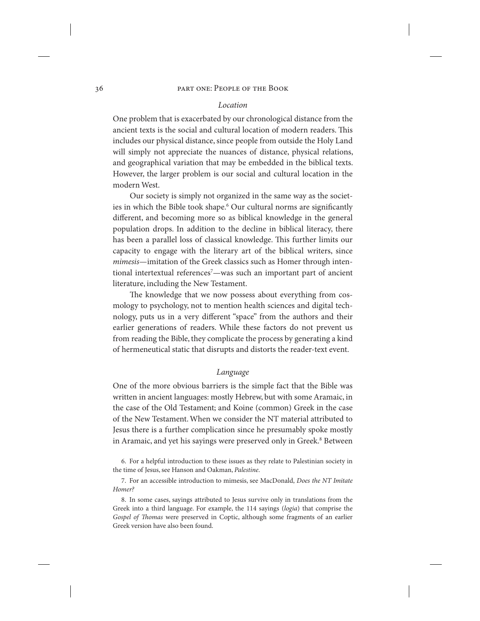## *Location*

One problem that is exacerbated by our chronological distance from the ancient texts is the social and cultural location of modern readers. This includes our physical distance, since people from outside the Holy Land will simply not appreciate the nuances of distance, physical relations, and geographical variation that may be embedded in the biblical texts. However, the larger problem is our social and cultural location in the modern West.

Our society is simply not organized in the same way as the societies in which the Bible took shape.<sup>6</sup> Our cultural norms are significantly different, and becoming more so as biblical knowledge in the general population drops. In addition to the decline in biblical literacy, there has been a parallel loss of classical knowledge. This further limits our capacity to engage with the literary art of the biblical writers, since *mimesis*—imitation of the Greek classics such as Homer through intentional intertextual references<sup>7</sup>—was such an important part of ancient literature, including the New Testament.

The knowledge that we now possess about everything from cosmology to psychology, not to mention health sciences and digital technology, puts us in a very different "space" from the authors and their earlier generations of readers. While these factors do not prevent us from reading the Bible, they complicate the process by generating a kind of hermeneutical static that disrupts and distorts the reader-text event.

## *Language*

One of the more obvious barriers is the simple fact that the Bible was written in ancient languages: mostly Hebrew, but with some Aramaic, in the case of the Old Testament; and Koine (common) Greek in the case of the New Testament. When we consider the NT material attributed to Jesus there is a further complication since he presumably spoke mostly in Aramaic, and yet his sayings were preserved only in Greek.<sup>8</sup> Between

6. For a helpful introduction to these issues as they relate to Palestinian society in the time of Jesus, see Hanson and Oakman, *Palestine*.

7. For an accessible introduction to mimesis, see MacDonald, *Does the NT Imitate Homer?*

8. In some cases, sayings attributed to Jesus survive only in translations from the Greek into a third language. For example, the 114 sayings (*logia*) that comprise the *Gospel of Thomas* were preserved in Coptic, although some fragments of an earlier Greek version have also been found.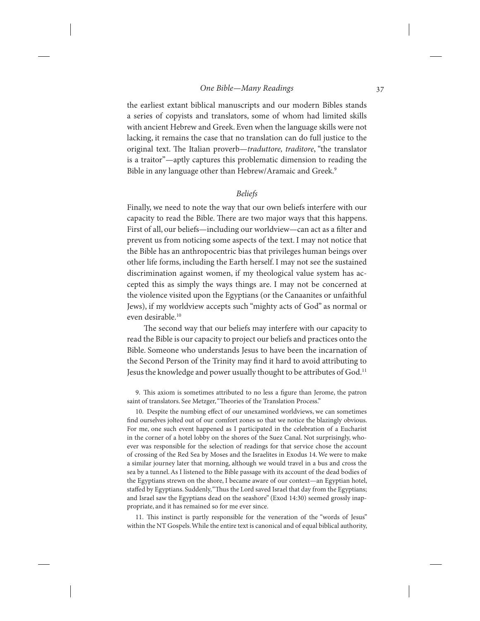the earliest extant biblical manuscripts and our modern Bibles stands a series of copyists and translators, some of whom had limited skills with ancient Hebrew and Greek. Even when the language skills were not lacking, it remains the case that no translation can do full justice to the original text. The Italian proverb—*traduttore, traditore*, "the translator is a traitor"—aptly captures this problematic dimension to reading the Bible in any language other than Hebrew/Aramaic and Greek.<sup>9</sup>

# *Beliefs*

Finally, we need to note the way that our own beliefs interfere with our capacity to read the Bible. There are two major ways that this happens. First of all, our beliefs—including our worldview—can act as a filter and prevent us from noticing some aspects of the text. I may not notice that the Bible has an anthropocentric bias that privileges human beings over other life forms, including the Earth herself. I may not see the sustained discrimination against women, if my theological value system has accepted this as simply the ways things are. I may not be concerned at the violence visited upon the Egyptians (or the Canaanites or unfaithful Jews), if my worldview accepts such "mighty acts of God" as normal or even desirable.<sup>10</sup>

The second way that our beliefs may interfere with our capacity to read the Bible is our capacity to project our beliefs and practices onto the Bible. Someone who understands Jesus to have been the incarnation of the Second Person of the Trinity may find it hard to avoid attributing to Jesus the knowledge and power usually thought to be attributes of God.<sup>11</sup>

9. This axiom is sometimes attributed to no less a figure than Jerome, the patron saint of translators. See Metzger, "Theories of the Translation Process."

10. Despite the numbing effect of our unexamined worldviews, we can sometimes find ourselves jolted out of our comfort zones so that we notice the blazingly obvious. For me, one such event happened as I participated in the celebration of a Eucharist in the corner of a hotel lobby on the shores of the Suez Canal. Not surprisingly, whoever was responsible for the selection of readings for that service chose the account of crossing of the Red Sea by Moses and the Israelites in Exodus 14. We were to make a similar journey later that morning, although we would travel in a bus and cross the sea by a tunnel. As I listened to the Bible passage with its account of the dead bodies of the Egyptians strewn on the shore, I became aware of our context—an Egyptian hotel, staffed by Egyptians. Suddenly, "Thus the Lord saved Israel that day from the Egyptians; and Israel saw the Egyptians dead on the seashore" (Exod 14:30) seemed grossly inappropriate, and it has remained so for me ever since.

11. This instinct is partly responsible for the veneration of the "words of Jesus" within the NT Gospels. While the entire text is canonical and of equal biblical authority,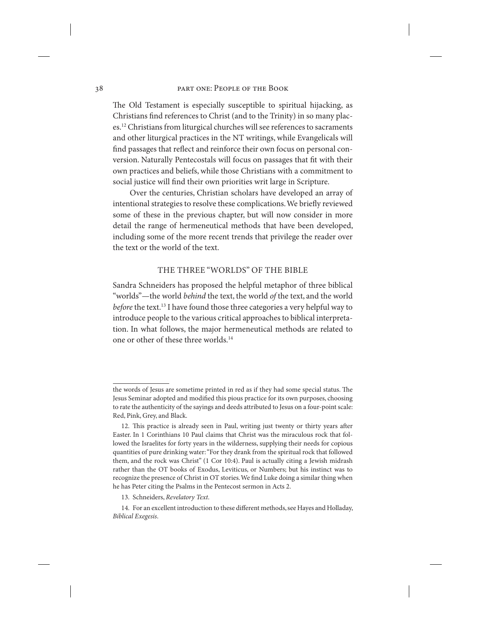The Old Testament is especially susceptible to spiritual hijacking, as Christians find references to Christ (and to the Trinity) in so many places.<sup>12</sup> Christians from liturgical churches will see references to sacraments and other liturgical practices in the NT writings, while Evangelicals will find passages that reflect and reinforce their own focus on personal conversion. Naturally Pentecostals will focus on passages that fit with their own practices and beliefs, while those Christians with a commitment to social justice will find their own priorities writ large in Scripture.

Over the centuries, Christian scholars have developed an array of intentional strategies to resolve these complications. We briefly reviewed some of these in the previous chapter, but will now consider in more detail the range of hermeneutical methods that have been developed, including some of the more recent trends that privilege the reader over the text or the world of the text.

# The Three "Worlds" of the Bible

Sandra Schneiders has proposed the helpful metaphor of three biblical "worlds"—the world *behind* the text, the world *of* the text, and the world *before* the text.<sup>13</sup> I have found those three categories a very helpful way to introduce people to the various critical approaches to biblical interpretation. In what follows, the major hermeneutical methods are related to one or other of these three worlds.14

the words of Jesus are sometime printed in red as if they had some special status. The Jesus Seminar adopted and modified this pious practice for its own purposes, choosing to rate the authenticity of the sayings and deeds attributed to Jesus on a four-point scale: Red, Pink, Grey, and Black.

<sup>12.</sup> This practice is already seen in Paul, writing just twenty or thirty years after Easter. In 1 Corinthians 10 Paul claims that Christ was the miraculous rock that followed the Israelites for forty years in the wilderness, supplying their needs for copious quantities of pure drinking water: "For they drank from the spiritual rock that followed them, and the rock was Christ" (1 Cor 10:4). Paul is actually citing a Jewish midrash rather than the OT books of Exodus, Leviticus, or Numbers; but his instinct was to recognize the presence of Christ in OT stories. We find Luke doing a similar thing when he has Peter citing the Psalms in the Pentecost sermon in Acts 2.

<sup>13.</sup> Schneiders, *Revelatory Text*.

<sup>14.</sup> For an excellent introduction to these different methods, see Hayes and Holladay, *Biblical Exegesis*.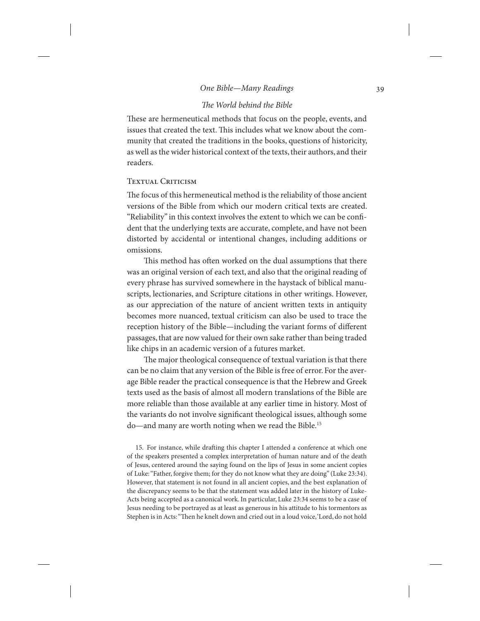# *The World behind the Bible*

These are hermeneutical methods that focus on the people, events, and issues that created the text. This includes what we know about the community that created the traditions in the books, questions of historicity, as well as the wider historical context of the texts, their authors, and their readers.

# TEXTUAL CRITICISM

The focus of this hermeneutical method is the reliability of those ancient versions of the Bible from which our modern critical texts are created. "Reliability" in this context involves the extent to which we can be confident that the underlying texts are accurate, complete, and have not been distorted by accidental or intentional changes, including additions or omissions.

This method has often worked on the dual assumptions that there was an original version of each text, and also that the original reading of every phrase has survived somewhere in the haystack of biblical manuscripts, lectionaries, and Scripture citations in other writings. However, as our appreciation of the nature of ancient written texts in antiquity becomes more nuanced, textual criticism can also be used to trace the reception history of the Bible—including the variant forms of different passages, that are now valued for their own sake rather than being traded like chips in an academic version of a futures market.

The major theological consequence of textual variation is that there can be no claim that any version of the Bible is free of error. For the average Bible reader the practical consequence is that the Hebrew and Greek texts used as the basis of almost all modern translations of the Bible are more reliable than those available at any earlier time in history. Most of the variants do not involve significant theological issues, although some do—and many are worth noting when we read the Bible.15

15. For instance, while drafting this chapter I attended a conference at which one of the speakers presented a complex interpretation of human nature and of the death of Jesus, centered around the saying found on the lips of Jesus in some ancient copies of Luke: "Father, forgive them; for they do not know what they are doing" (Luke 23:34). However, that statement is not found in all ancient copies, and the best explanation of the discrepancy seems to be that the statement was added later in the history of Luke-Acts being accepted as a canonical work. In particular, Luke 23:34 seems to be a case of Jesus needing to be portrayed as at least as generous in his attitude to his tormentors as Stephen is in Acts: "Then he knelt down and cried out in a loud voice, 'Lord, do not hold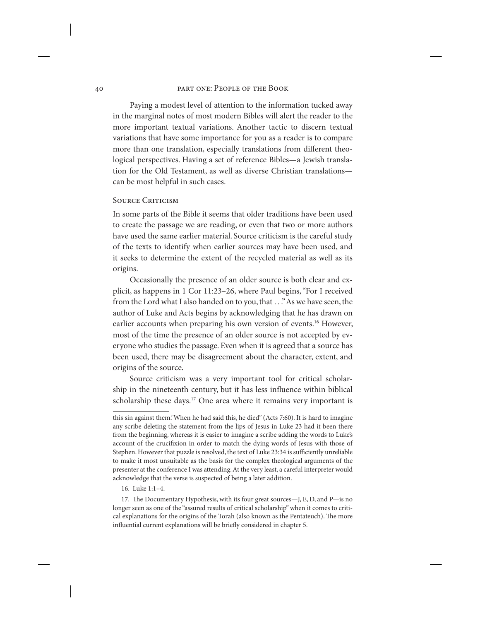Paying a modest level of attention to the information tucked away in the marginal notes of most modern Bibles will alert the reader to the more important textual variations. Another tactic to discern textual variations that have some importance for you as a reader is to compare more than one translation, especially translations from different theological perspectives. Having a set of reference Bibles—a Jewish translation for the Old Testament, as well as diverse Christian translations can be most helpful in such cases.

#### SOURCE CRITICISM

In some parts of the Bible it seems that older traditions have been used to create the passage we are reading, or even that two or more authors have used the same earlier material. Source criticism is the careful study of the texts to identify when earlier sources may have been used, and it seeks to determine the extent of the recycled material as well as its origins.

Occasionally the presence of an older source is both clear and explicit, as happens in 1 Cor 11:23–26, where Paul begins, "For I received from the Lord what I also handed on to you, that . . ." As we have seen, the author of Luke and Acts begins by acknowledging that he has drawn on earlier accounts when preparing his own version of events.<sup>16</sup> However, most of the time the presence of an older source is not accepted by everyone who studies the passage. Even when it is agreed that a source has been used, there may be disagreement about the character, extent, and origins of the source.

Source criticism was a very important tool for critical scholarship in the nineteenth century, but it has less influence within biblical scholarship these days.<sup>17</sup> One area where it remains very important is

this sin against them.' When he had said this, he died" (Acts 7:60). It is hard to imagine any scribe deleting the statement from the lips of Jesus in Luke 23 had it been there from the beginning, whereas it is easier to imagine a scribe adding the words to Luke's account of the crucifixion in order to match the dying words of Jesus with those of Stephen. However that puzzle is resolved, the text of Luke 23:34 is sufficiently unreliable to make it most unsuitable as the basis for the complex theological arguments of the presenter at the conference I was attending. At the very least, a careful interpreter would acknowledge that the verse is suspected of being a later addition.

<sup>16.</sup> Luke 1:1–4.

<sup>17.</sup> The Documentary Hypothesis, with its four great sources—J, E, D, and P—is no longer seen as one of the "assured results of critical scholarship" when it comes to critical explanations for the origins of the Torah (also known as the Pentateuch). The more influential current explanations will be briefly considered in chapter 5.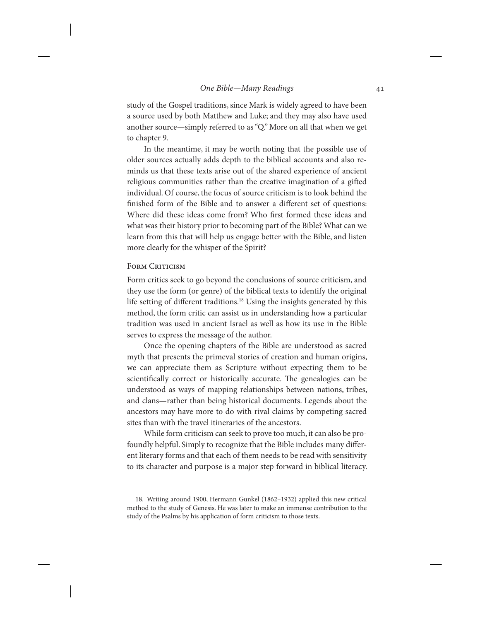study of the Gospel traditions, since Mark is widely agreed to have been a source used by both Matthew and Luke; and they may also have used another source—simply referred to as "Q." More on all that when we get to chapter 9.

In the meantime, it may be worth noting that the possible use of older sources actually adds depth to the biblical accounts and also reminds us that these texts arise out of the shared experience of ancient religious communities rather than the creative imagination of a gifted individual. Of course, the focus of source criticism is to look behind the finished form of the Bible and to answer a different set of questions: Where did these ideas come from? Who first formed these ideas and what was their history prior to becoming part of the Bible? What can we learn from this that will help us engage better with the Bible, and listen more clearly for the whisper of the Spirit?

## FORM CRITICISM

Form critics seek to go beyond the conclusions of source criticism, and they use the form (or genre) of the biblical texts to identify the original life setting of different traditions.<sup>18</sup> Using the insights generated by this method, the form critic can assist us in understanding how a particular tradition was used in ancient Israel as well as how its use in the Bible serves to express the message of the author.

Once the opening chapters of the Bible are understood as sacred myth that presents the primeval stories of creation and human origins, we can appreciate them as Scripture without expecting them to be scientifically correct or historically accurate. The genealogies can be understood as ways of mapping relationships between nations, tribes, and clans—rather than being historical documents. Legends about the ancestors may have more to do with rival claims by competing sacred sites than with the travel itineraries of the ancestors.

While form criticism can seek to prove too much, it can also be profoundly helpful. Simply to recognize that the Bible includes many different literary forms and that each of them needs to be read with sensitivity to its character and purpose is a major step forward in biblical literacy.

<sup>18.</sup> Writing around 1900, Hermann Gunkel (1862–1932) applied this new critical method to the study of Genesis. He was later to make an immense contribution to the study of the Psalms by his application of form criticism to those texts.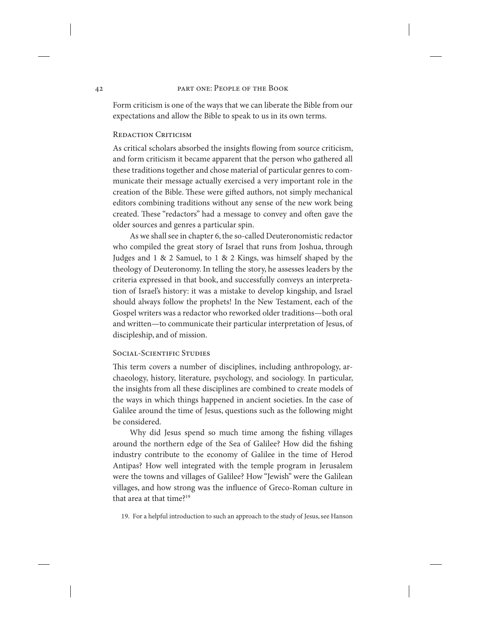Form criticism is one of the ways that we can liberate the Bible from our expectations and allow the Bible to speak to us in its own terms.

## **REDACTION CRITICISM**

As critical scholars absorbed the insights flowing from source criticism, and form criticism it became apparent that the person who gathered all these traditions together and chose material of particular genres to communicate their message actually exercised a very important role in the creation of the Bible. These were gifted authors, not simply mechanical editors combining traditions without any sense of the new work being created. These "redactors" had a message to convey and often gave the older sources and genres a particular spin.

As we shall see in chapter 6, the so-called Deuteronomistic redactor who compiled the great story of Israel that runs from Joshua, through Judges and 1 & 2 Samuel, to 1 & 2 Kings, was himself shaped by the theology of Deuteronomy. In telling the story, he assesses leaders by the criteria expressed in that book, and successfully conveys an interpretation of Israel's history: it was a mistake to develop kingship, and Israel should always follow the prophets! In the New Testament, each of the Gospel writers was a redactor who reworked older traditions—both oral and written—to communicate their particular interpretation of Jesus, of discipleship, and of mission.

## SOCIAL-SCIENTIFIC STUDIES

This term covers a number of disciplines, including anthropology, archaeology, history, literature, psychology, and sociology. In particular, the insights from all these disciplines are combined to create models of the ways in which things happened in ancient societies. In the case of Galilee around the time of Jesus, questions such as the following might be considered.

Why did Jesus spend so much time among the fishing villages around the northern edge of the Sea of Galilee? How did the fishing industry contribute to the economy of Galilee in the time of Herod Antipas? How well integrated with the temple program in Jerusalem were the towns and villages of Galilee? How "Jewish" were the Galilean villages, and how strong was the influence of Greco-Roman culture in that area at that time?<sup>19</sup>

19. For a helpful introduction to such an approach to the study of Jesus, see Hanson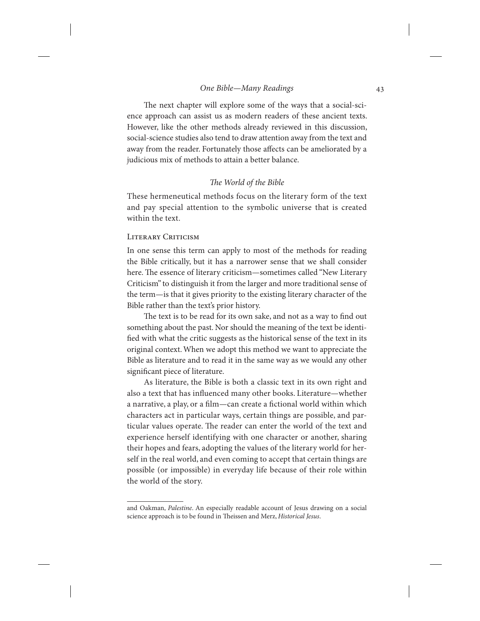The next chapter will explore some of the ways that a social-science approach can assist us as modern readers of these ancient texts. However, like the other methods already reviewed in this discussion, social-science studies also tend to draw attention away from the text and away from the reader. Fortunately those affects can be ameliorated by a judicious mix of methods to attain a better balance.

## *The World of the Bible*

These hermeneutical methods focus on the literary form of the text and pay special attention to the symbolic universe that is created within the text.

# LITERARY CRITICISM

In one sense this term can apply to most of the methods for reading the Bible critically, but it has a narrower sense that we shall consider here. The essence of literary criticism—sometimes called "New Literary Criticism" to distinguish it from the larger and more traditional sense of the term—is that it gives priority to the existing literary character of the Bible rather than the text's prior history.

The text is to be read for its own sake, and not as a way to find out something about the past. Nor should the meaning of the text be identified with what the critic suggests as the historical sense of the text in its original context. When we adopt this method we want to appreciate the Bible as literature and to read it in the same way as we would any other significant piece of literature.

As literature, the Bible is both a classic text in its own right and also a text that has influenced many other books. Literature—whether a narrative, a play, or a film—can create a fictional world within which characters act in particular ways, certain things are possible, and particular values operate. The reader can enter the world of the text and experience herself identifying with one character or another, sharing their hopes and fears, adopting the values of the literary world for herself in the real world, and even coming to accept that certain things are possible (or impossible) in everyday life because of their role within the world of the story.

and Oakman, *Palestine*. An especially readable account of Jesus drawing on a social science approach is to be found in Theissen and Merz, *Historical Jesus*.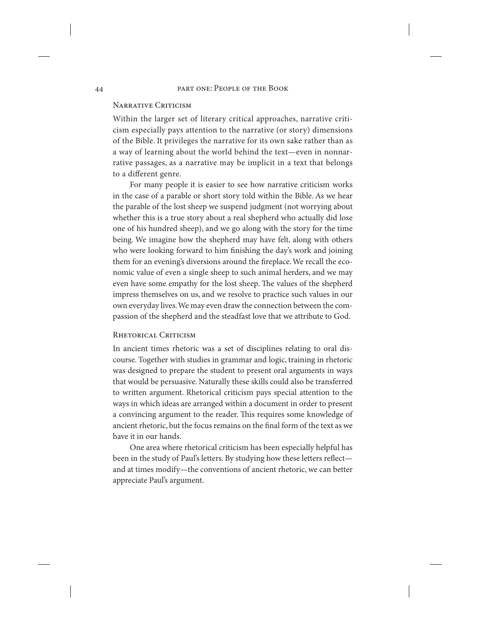# NARRATIVE CRITICISM

Within the larger set of literary critical approaches, narrative criticism especially pays attention to the narrative (or story) dimensions of the Bible. It privileges the narrative for its own sake rather than as a way of learning about the world behind the text—even in nonnarrative passages, as a narrative may be implicit in a text that belongs to a different genre.

For many people it is easier to see how narrative criticism works in the case of a parable or short story told within the Bible. As we hear the parable of the lost sheep we suspend judgment (not worrying about whether this is a true story about a real shepherd who actually did lose one of his hundred sheep), and we go along with the story for the time being. We imagine how the shepherd may have felt, along with others who were looking forward to him finishing the day's work and joining them for an evening's diversions around the fireplace. We recall the economic value of even a single sheep to such animal herders, and we may even have some empathy for the lost sheep. The values of the shepherd impress themselves on us, and we resolve to practice such values in our own everyday lives. We may even draw the connection between the compassion of the shepherd and the steadfast love that we attribute to God.

## RHETORICAL CRITICISM

In ancient times rhetoric was a set of disciplines relating to oral discourse. Together with studies in grammar and logic, training in rhetoric was designed to prepare the student to present oral arguments in ways that would be persuasive. Naturally these skills could also be transferred to written argument. Rhetorical criticism pays special attention to the ways in which ideas are arranged within a document in order to present a convincing argument to the reader. This requires some knowledge of ancient rhetoric, but the focus remains on the final form of the text as we have it in our hands.

One area where rhetorical criticism has been especially helpful has been in the study of Paul's letters. By studying how these letters reflect and at times modify—the conventions of ancient rhetoric, we can better appreciate Paul's argument.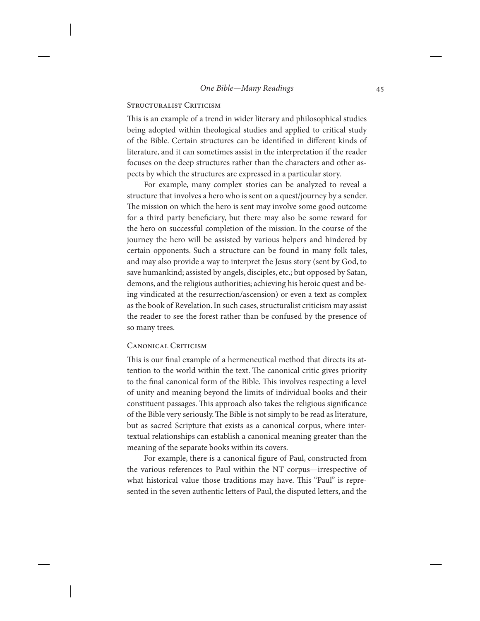## STRUCTURALIST CRITICISM

This is an example of a trend in wider literary and philosophical studies being adopted within theological studies and applied to critical study of the Bible. Certain structures can be identified in different kinds of literature, and it can sometimes assist in the interpretation if the reader focuses on the deep structures rather than the characters and other aspects by which the structures are expressed in a particular story.

For example, many complex stories can be analyzed to reveal a structure that involves a hero who is sent on a quest/journey by a sender. The mission on which the hero is sent may involve some good outcome for a third party beneficiary, but there may also be some reward for the hero on successful completion of the mission. In the course of the journey the hero will be assisted by various helpers and hindered by certain opponents. Such a structure can be found in many folk tales, and may also provide a way to interpret the Jesus story (sent by God, to save humankind; assisted by angels, disciples, etc.; but opposed by Satan, demons, and the religious authorities; achieving his heroic quest and being vindicated at the resurrection/ascension) or even a text as complex as the book of Revelation. In such cases, structuralist criticism may assist the reader to see the forest rather than be confused by the presence of so many trees.

## CANONICAL CRITICISM

This is our final example of a hermeneutical method that directs its attention to the world within the text. The canonical critic gives priority to the final canonical form of the Bible. This involves respecting a level of unity and meaning beyond the limits of individual books and their constituent passages. This approach also takes the religious significance of the Bible very seriously. The Bible is not simply to be read as literature, but as sacred Scripture that exists as a canonical corpus, where intertextual relationships can establish a canonical meaning greater than the meaning of the separate books within its covers.

For example, there is a canonical figure of Paul, constructed from the various references to Paul within the NT corpus—irrespective of what historical value those traditions may have. This "Paul" is represented in the seven authentic letters of Paul, the disputed letters, and the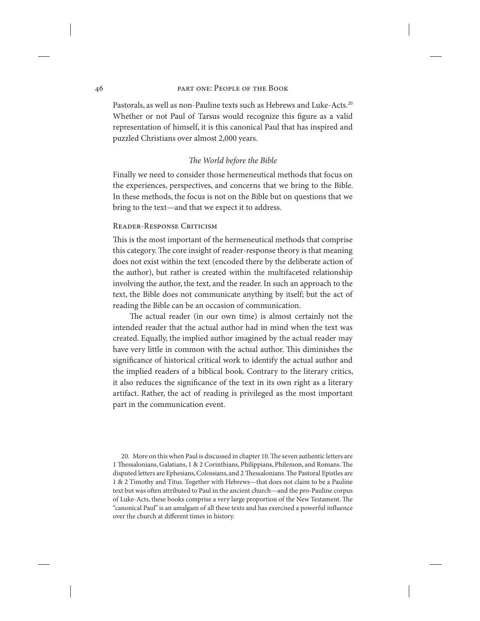Pastorals, as well as non-Pauline texts such as Hebrews and Luke-Acts.<sup>20</sup> Whether or not Paul of Tarsus would recognize this figure as a valid representation of himself, it is this canonical Paul that has inspired and puzzled Christians over almost 2,000 years.

## *The World before the Bible*

Finally we need to consider those hermeneutical methods that focus on the experiences, perspectives, and concerns that we bring to the Bible. In these methods, the focus is not on the Bible but on questions that we bring to the text—and that we expect it to address.

## Reader-Response Criticism

This is the most important of the hermeneutical methods that comprise this category. The core insight of reader-response theory is that meaning does not exist within the text (encoded there by the deliberate action of the author), but rather is created within the multifaceted relationship involving the author, the text, and the reader. In such an approach to the text, the Bible does not communicate anything by itself; but the act of reading the Bible can be an occasion of communication.

The actual reader (in our own time) is almost certainly not the intended reader that the actual author had in mind when the text was created. Equally, the implied author imagined by the actual reader may have very little in common with the actual author. This diminishes the significance of historical critical work to identify the actual author and the implied readers of a biblical book. Contrary to the literary critics, it also reduces the significance of the text in its own right as a literary artifact. Rather, the act of reading is privileged as the most important part in the communication event.

20. More on this when Paul is discussed in chapter 10. The seven authentic letters are 1 Thessalonians, Galatians, 1 & 2 Corinthians, Philippians, Philemon, and Romans. The disputed letters are Ephesians, Colossians, and 2 Thessalonians. The Pastoral Epistles are 1 & 2 Timothy and Titus. Together with Hebrews—that does not claim to be a Pauline text but was often attributed to Paul in the ancient church—and the pro-Pauline corpus of Luke-Acts, these books comprise a very large proportion of the New Testament. The "canonical Paul" is an amalgam of all these texts and has exercised a powerful influence over the church at different times in history.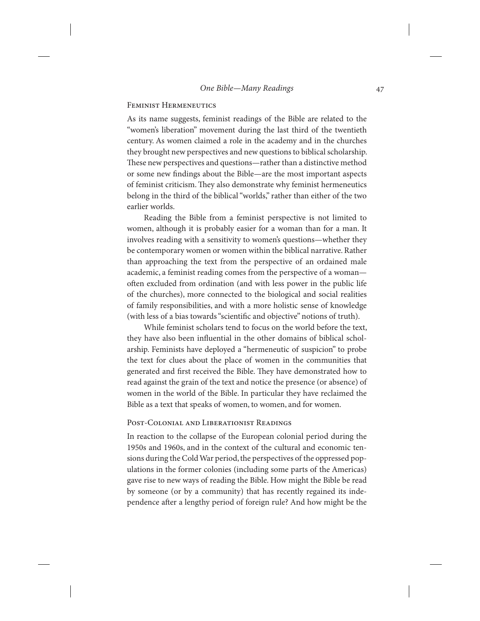# Feminist Hermeneutics

As its name suggests, feminist readings of the Bible are related to the "women's liberation" movement during the last third of the twentieth century. As women claimed a role in the academy and in the churches they brought new perspectives and new questions to biblical scholarship. These new perspectives and questions—rather than a distinctive method or some new findings about the Bible—are the most important aspects of feminist criticism. They also demonstrate why feminist hermeneutics belong in the third of the biblical "worlds," rather than either of the two earlier worlds.

Reading the Bible from a feminist perspective is not limited to women, although it is probably easier for a woman than for a man. It involves reading with a sensitivity to women's questions—whether they be contemporary women or women within the biblical narrative. Rather than approaching the text from the perspective of an ordained male academic, a feminist reading comes from the perspective of a woman often excluded from ordination (and with less power in the public life of the churches), more connected to the biological and social realities of family responsibilities, and with a more holistic sense of knowledge (with less of a bias towards "scientific and objective" notions of truth).

While feminist scholars tend to focus on the world before the text, they have also been influential in the other domains of biblical scholarship. Feminists have deployed a "hermeneutic of suspicion" to probe the text for clues about the place of women in the communities that generated and first received the Bible. They have demonstrated how to read against the grain of the text and notice the presence (or absence) of women in the world of the Bible. In particular they have reclaimed the Bible as a text that speaks of women, to women, and for women.

# Post-Colonial and Liberationist Readings

In reaction to the collapse of the European colonial period during the 1950s and 1960s, and in the context of the cultural and economic tensions during the Cold War period, the perspectives of the oppressed populations in the former colonies (including some parts of the Americas) gave rise to new ways of reading the Bible. How might the Bible be read by someone (or by a community) that has recently regained its independence after a lengthy period of foreign rule? And how might be the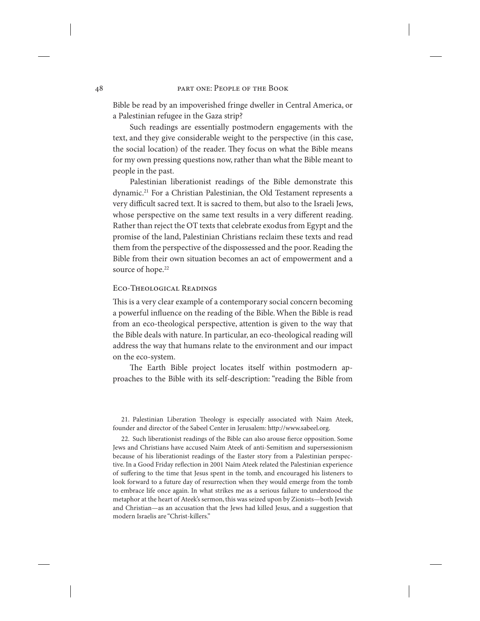Bible be read by an impoverished fringe dweller in Central America, or a Palestinian refugee in the Gaza strip?

Such readings are essentially postmodern engagements with the text, and they give considerable weight to the perspective (in this case, the social location) of the reader. They focus on what the Bible means for my own pressing questions now, rather than what the Bible meant to people in the past.

Palestinian liberationist readings of the Bible demonstrate this dynamic.<sup>21</sup> For a Christian Palestinian, the Old Testament represents a very difficult sacred text. It is sacred to them, but also to the Israeli Jews, whose perspective on the same text results in a very different reading. Rather than reject the OT texts that celebrate exodus from Egypt and the promise of the land, Palestinian Christians reclaim these texts and read them from the perspective of the dispossessed and the poor. Reading the Bible from their own situation becomes an act of empowerment and a source of hope.<sup>22</sup>

## Eco-Theological Readings

This is a very clear example of a contemporary social concern becoming a powerful influence on the reading of the Bible. When the Bible is read from an eco-theological perspective, attention is given to the way that the Bible deals with nature. In particular, an eco-theological reading will address the way that humans relate to the environment and our impact on the eco-system.

The Earth Bible project locates itself within postmodern approaches to the Bible with its self-description: "reading the Bible from

21. Palestinian Liberation Theology is especially associated with Naim Ateek, founder and director of the Sabeel Center in Jerusalem: http://www.sabeel.org.

22. Such liberationist readings of the Bible can also arouse fierce opposition. Some Jews and Christians have accused Naim Ateek of anti-Semitism and supersessionism because of his liberationist readings of the Easter story from a Palestinian perspective. In a Good Friday reflection in 2001 Naim Ateek related the Palestinian experience of suffering to the time that Jesus spent in the tomb, and encouraged his listeners to look forward to a future day of resurrection when they would emerge from the tomb to embrace life once again. In what strikes me as a serious failure to understood the metaphor at the heart of Ateek's sermon, this was seized upon by Zionists—both Jewish and Christian—as an accusation that the Jews had killed Jesus, and a suggestion that modern Israelis are "Christ-killers."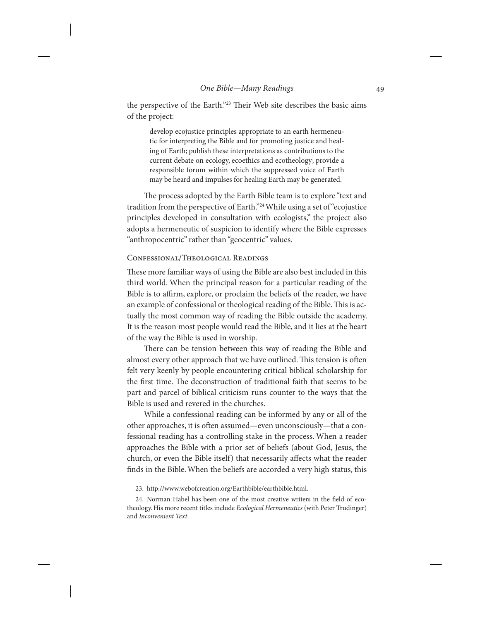the perspective of the Earth."23 Their Web site describes the basic aims of the project:

develop ecojustice principles appropriate to an earth hermeneutic for interpreting the Bible and for promoting justice and healing of Earth; publish these interpretations as contributions to the current debate on ecology, ecoethics and ecotheology; provide a responsible forum within which the suppressed voice of Earth may be heard and impulses for healing Earth may be generated.

The process adopted by the Earth Bible team is to explore "text and tradition from the perspective of Earth."24 While using a set of "ecojustice principles developed in consultation with ecologists," the project also adopts a hermeneutic of suspicion to identify where the Bible expresses "anthropocentric" rather than "geocentric" values.

# Confessional/Theological Readings

These more familiar ways of using the Bible are also best included in this third world. When the principal reason for a particular reading of the Bible is to affirm, explore, or proclaim the beliefs of the reader, we have an example of confessional or theological reading of the Bible. This is actually the most common way of reading the Bible outside the academy. It is the reason most people would read the Bible, and it lies at the heart of the way the Bible is used in worship.

There can be tension between this way of reading the Bible and almost every other approach that we have outlined. This tension is often felt very keenly by people encountering critical biblical scholarship for the first time. The deconstruction of traditional faith that seems to be part and parcel of biblical criticism runs counter to the ways that the Bible is used and revered in the churches.

While a confessional reading can be informed by any or all of the other approaches, it is often assumed—even unconsciously—that a confessional reading has a controlling stake in the process. When a reader approaches the Bible with a prior set of beliefs (about God, Jesus, the church, or even the Bible itself) that necessarily affects what the reader finds in the Bible. When the beliefs are accorded a very high status, this

<sup>23.</sup> http://www.webofcreation.org/Earthbible/earthbible.html.

<sup>24.</sup> Norman Habel has been one of the most creative writers in the field of ecotheology. His more recent titles include *Ecological Hermeneutics* (with Peter Trudinger) and *Inconvenient Text*.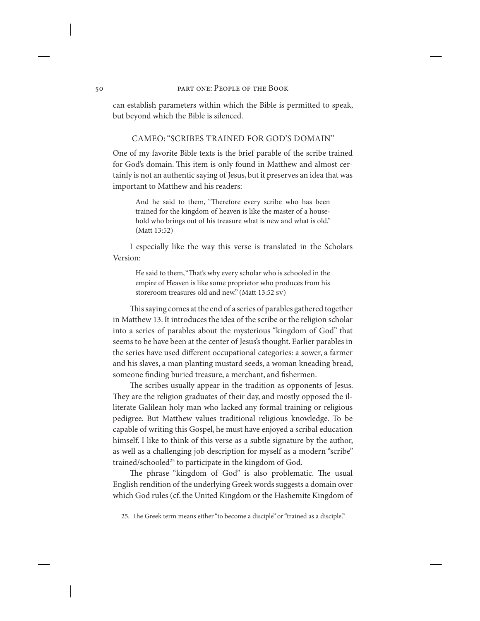can establish parameters within which the Bible is permitted to speak, but beyond which the Bible is silenced.

## Cameo: "Scribes Trained for God's Domain"

One of my favorite Bible texts is the brief parable of the scribe trained for God's domain. This item is only found in Matthew and almost certainly is not an authentic saying of Jesus, but it preserves an idea that was important to Matthew and his readers:

And he said to them, "Therefore every scribe who has been trained for the kingdom of heaven is like the master of a household who brings out of his treasure what is new and what is old." (Matt 13:52)

I especially like the way this verse is translated in the Scholars Version:

He said to them, "That's why every scholar who is schooled in the empire of Heaven is like some proprietor who produces from his storeroom treasures old and new." (Matt 13:52 sv)

This saying comes at the end of a series of parables gathered together in Matthew 13. It introduces the idea of the scribe or the religion scholar into a series of parables about the mysterious "kingdom of God" that seems to be have been at the center of Jesus's thought. Earlier parables in the series have used different occupational categories: a sower, a farmer and his slaves, a man planting mustard seeds, a woman kneading bread, someone finding buried treasure, a merchant, and fishermen.

The scribes usually appear in the tradition as opponents of Jesus. They are the religion graduates of their day, and mostly opposed the illiterate Galilean holy man who lacked any formal training or religious pedigree. But Matthew values traditional religious knowledge. To be capable of writing this Gospel, he must have enjoyed a scribal education himself. I like to think of this verse as a subtle signature by the author, as well as a challenging job description for myself as a modern "scribe" trained/schooled<sup>25</sup> to participate in the kingdom of God.

The phrase "kingdom of God" is also problematic. The usual English rendition of the underlying Greek words suggests a domain over which God rules (cf. the United Kingdom or the Hashemite Kingdom of

<sup>25.</sup> The Greek term means either "to become a disciple" or "trained as a disciple."